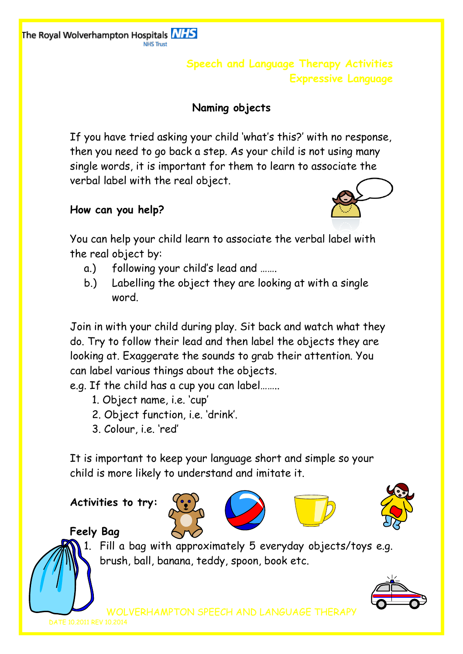The Royal Wolverhampton Hospitals **NHS** 

**Speech and Language Therapy Activities Expressive Language**

# **Naming objects**

If you have tried asking your child 'what's this?' with no response, then you need to go back a step. As your child is not using many single words, it is important for them to learn to associate the verbal label with the real object.

## **How can you help?**

You can help your child learn to associate the verbal label with the real object by:

- a.) following your child's lead and …….
- b.) Labelling the object they are looking at with a single word.

Join in with your child during play. Sit back and watch what they do. Try to follow their lead and then label the objects they are looking at. Exaggerate the sounds to grab their attention. You can label various things about the objects.

e.g. If the child has a cup you can label……..

- 1. Object name, i.e. 'cup'
- 2. Object function, i.e. 'drink'.
- 3. Colour, i.e. 'red'

It is important to keep your language short and simple so your child is more likely to understand and imitate it.

**Activities to try:**







**Feely Bag**

1. Fill a bag with approximately 5 everyday objects/toys e.g. brush, ball, banana, teddy, spoon, book etc.



WOLVERHAMPTON SPEECH AND LANGUAGE THERA

DATE 10.2011 REV 10.2014